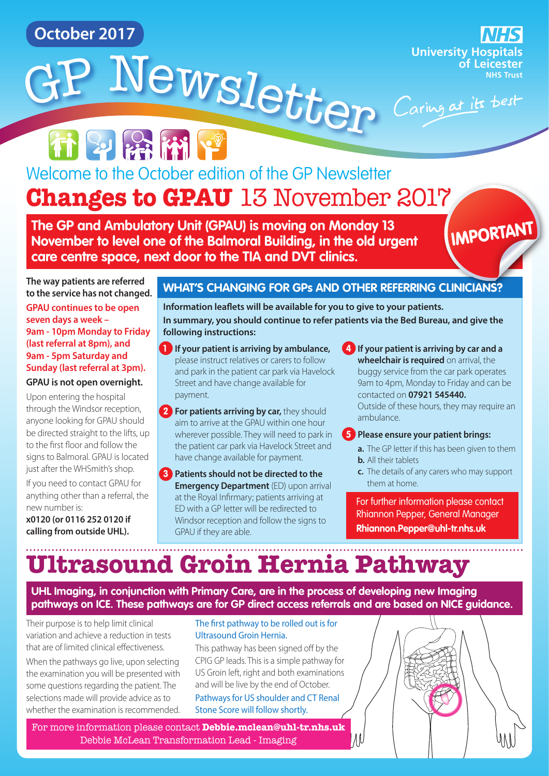**October 2017**

**University Hospitals of Leicester NHS Trust**

**Changes to GPAU** 13 November 2017 Welcome to the October edition of the GP Newsletter

<sup>G</sup><sup>P</sup> <sup>N</sup>ewslette<sup>r</sup>

**The GP and Ambulatory Unit (GPAU) is moving on Monday 13 November to level one of the Balmoral Building, in the old urgent care centre space, next door to the TIA and DVT clinics.**

# IMPORTANT

**The way patients are referred to the service has not changed.** 

**GPAU continues to be open seven days a week – 9am - 10pm Monday to Friday (last referral at 8pm), and 9am - 5pm Saturday and Sunday (last referral at 3pm).** 

#### **GPAU is not open overnight.**

Upon entering the hospital through the Windsor reception, anyone looking for GPAU should be directed straight to the lifts, up to the first floor and follow the signs to Balmoral. GPAU is located just after the WHSmith's shop.

If you need to contact GPAU for anything other than a referral, the new number is:

**x0120 (or 0116 252 0120 if calling from outside UHL).** 

#### **WHAT'S CHANGING FOR GPs AND OTHER REFERRING CLINICIANS?**

**Information leaflets will be available for you to give to your patients. In summary, you should continue to refer patients via the Bed Bureau, and give the following instructions:**

- **1 If your patient is arriving by ambulance,** please instruct relatives or carers to follow and park in the patient car park via Havelock Street and have change available for payment.
- **2 For patients arriving by car,** they should aim to arrive at the GPAU within one hour wherever possible. They will need to park in the patient car park via Havelock Street and have change available for payment.
- **3 Patients should not be directed to the Emergency Department** (ED) upon arrival at the Royal Infirmary; patients arriving at ED with a GP letter will be redirected to Windsor reception and follow the signs to GPAU if they are able.

**4 If your patient is arriving by car and a wheelchair is required** on arrival, the buggy service from the car park operates 9am to 4pm, Monday to Friday and can be contacted on **07921 545440.** Outside of these hours, they may require an

## ambulance.

#### **5 Please ensure your patient brings:**

- **a.** The GP letter if this has been given to them **b.** All their tablets
- $\frac{1}{2}$  them at home. tests and investigations are required, they **c.** The details of any carers who may support

For further information please contact Rhiannon Pepper, General Manager **[Rhiannon.Pepper@uhl-tr.nhs.uk](mailto:Rhiannon.Pepper%40uhl-tr.nhs.uk?subject=Changes%20to%20GPAU)**

# **Ultrasound Groin Hernia Pathway**

**UHL Imaging, in conjunction with Primary Care, are in the process of developing new Imaging pathways on ICE. These pathways are for GP direct access referrals and are based on NICE guidance.** 

Their purpose is to help limit clinical variation and achieve a reduction in tests that are of limited clinical effectiveness.

When the pathways go live, upon selecting the examination you will be presented with some questions regarding the patient. The selections made will provide advice as to whether the examination is recommended.

#### The first pathway to be rolled out is for Ultrasound Groin Hernia.

This pathway has been signed off by the CPIG GP leads. This is a simple pathway for US Groin left, right and both examinations and will be live by the end of October. Pathways for US shoulder and CT Renal Stone Score will follow shortly.

For more information please contact **[Debbie.mclean@uhl-tr.nhs.uk](mailto:Debbie.mclean%40uhl-tr.nhs.uk?subject=Ultrasound%20Groin%20Hernia%20Pathway)** Debbie McLean Transformation Lead - Imaging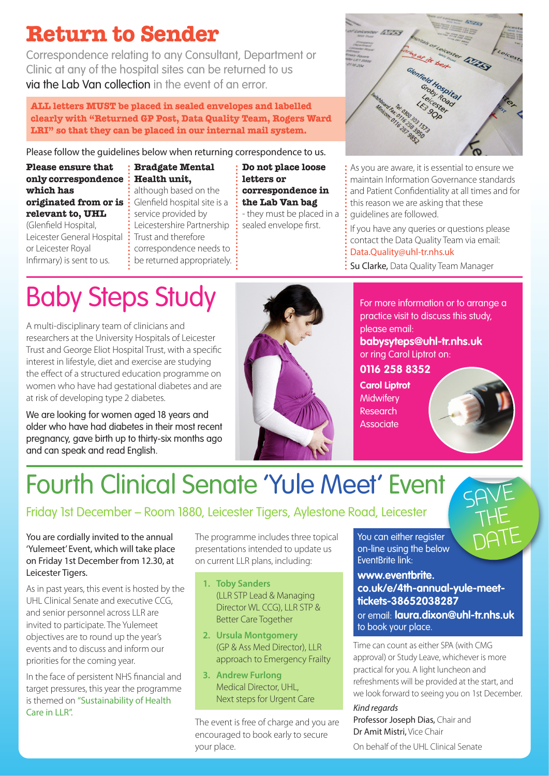## **Return to Sender**

Correspondence relating to any Consultant, Department or Clinic at any of the hospital sites can be returned to us via the Lab Van collection in the event of an error.

**ALL letters MUST be placed in sealed envelopes and labelled clearly with "Returned GP Post, Data Quality Team, Rogers Ward LRI" so that they can be placed in our internal mail system.**

Please follow the guidelines below when returning correspondence to us.

**Please ensure that only correspondence which has originated from or is relevant to, UHL**

(Glenfield Hospital, Leicester General Hospital or Leicester Royal Infirmary) is sent to us.

**Bradgate Mental Health unit,** although based on the Glenfield hospital site is a service provided by Leicestershire Partnership Trust and therefore correspondence needs to be returned appropriately. :

**Do not place loose letters or correspondence in the Lab Van bag** - they must be placed in a sealed envelope first.



As you are aware, it is essential to ensure we maintain Information Governance standards and Patient Confidentiality at all times and for this reason we are asking that these guidelines are followed.

If you have any queries or questions please contact the Data Quality Team via email: [Data.Quality@uhl-tr.nhs.uk](mailto:Data.Quality%40uhl-tr.nhs.uk?subject=Correspondence%20Return)

Su Clarke, Data Quality Team Manager

# Baby Steps Study

A multi-disciplinary team of clinicians and researchers at the University Hospitals of Leicester Trust and George Eliot Hospital Trust, with a specific interest in lifestyle, diet and exercise are studying the effect of a structured education programme on women who have had gestational diabetes and are at risk of developing type 2 diabetes.

We are looking for women aged 18 years and older who have had diabetes in their most recent pregnancy, gave birth up to thirty-six months ago and can speak and read English.



For more information or to arrange a practice visit to discuss this study, please email:

**[babysyteps@uhl-tr.nhs.uk](mailto:babysyteps%40uhl-tr.nhs.uk?subject=Baby%20Steps%20Study)** or ring Carol Liptrot on:

**0116 258 8352 Carol Liptrot Midwifery** Research **Associate** 



SAVE

THE

DATE

# Fourth Clinical Senate 'Yule Meet' Event

#### Friday 1st December – Room 1880, Leicester Tigers, Aylestone Road, Leicester

You are cordially invited to the annual 'Yulemeet' Event, which will take place on Friday 1st December from 12.30, at Leicester Tigers.

As in past years, this event is hosted by the UHL Clinical Senate and executive CCG, and senior personnel across LLR are invited to participate. The Yulemeet objectives are to round up the year's events and to discuss and inform our priorities for the coming year.

In the face of persistent NHS financial and target pressures, this year the programme is themed on "Sustainability of Health Care in LLR".

The programme includes three topical presentations intended to update us on current LLR plans, including:

- **1. Toby Sanders**  (LLR STP Lead & Managing Director WL CCG), LLR STP & Better Care Together
- **2. Ursula Montgomery**  (GP & Ass Med Director), LLR approach to Emergency Frailty
- **3. Andrew Furlong** Medical Director, UHL, Next steps for Urgent Care

The event is free of charge and you are encouraged to book early to secure your place.

You can either register on-line using the below EventBrite link:

#### **[www.eventbrite.](www.eventbrite.co.uk/e/4th-annual-yule-meet-tickets-38652038287) [co.uk/e/4th-annual-yule-meet](www.eventbrite.co.uk/e/4th-annual-yule-meet-tickets-38652038287)[tickets-38652038287](www.eventbrite.co.uk/e/4th-annual-yule-meet-tickets-38652038287)**

or email: **[laura.dixon@uhl-tr.nhs.uk](mailto:laura.dixon%40uhl-tr.nhs.uk?subject=Yule%20Meet)** to book your place.

Time can count as either SPA (with CMG approval) or Study Leave, whichever is more practical for you. A light luncheon and refreshments will be provided at the start, and we look forward to seeing you on 1st December.

#### *Kind regards*

Professor Joseph Dias, Chair and Dr Amit Mistri, Vice Chair On behalf of the UHL Clinical Senate